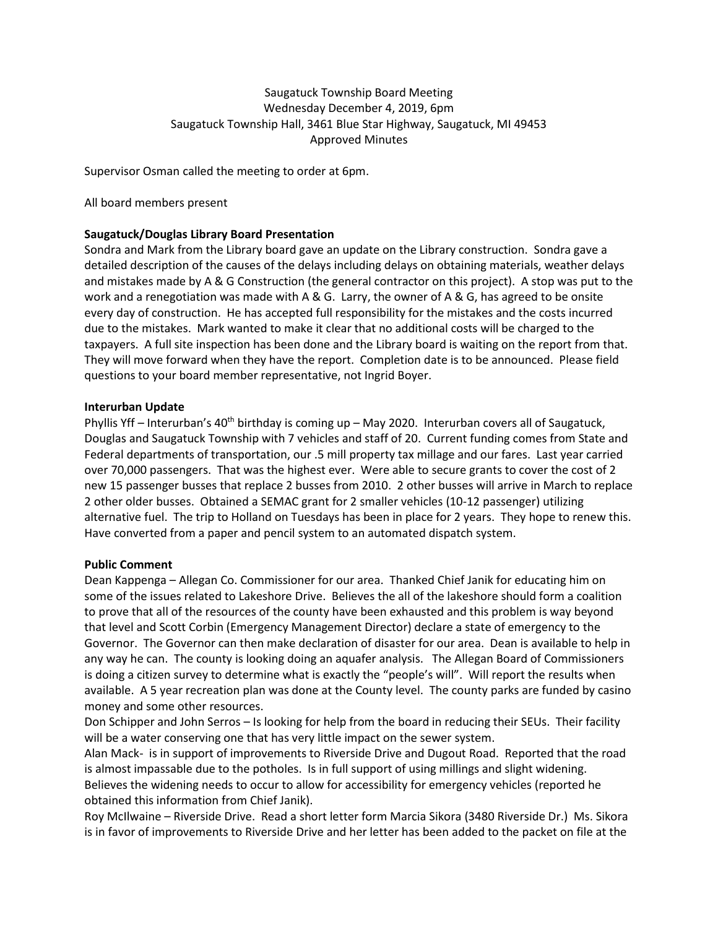# Saugatuck Township Board Meeting Wednesday December 4, 2019, 6pm Saugatuck Township Hall, 3461 Blue Star Highway, Saugatuck, MI 49453 Approved Minutes

Supervisor Osman called the meeting to order at 6pm.

All board members present

## **Saugatuck/Douglas Library Board Presentation**

Sondra and Mark from the Library board gave an update on the Library construction. Sondra gave a detailed description of the causes of the delays including delays on obtaining materials, weather delays and mistakes made by A & G Construction (the general contractor on this project). A stop was put to the work and a renegotiation was made with A & G. Larry, the owner of A & G, has agreed to be onsite every day of construction. He has accepted full responsibility for the mistakes and the costs incurred due to the mistakes. Mark wanted to make it clear that no additional costs will be charged to the taxpayers. A full site inspection has been done and the Library board is waiting on the report from that. They will move forward when they have the report. Completion date is to be announced. Please field questions to your board member representative, not Ingrid Boyer.

#### **Interurban Update**

Phyllis Yff – Interurban's 40<sup>th</sup> birthday is coming up – May 2020. Interurban covers all of Saugatuck, Douglas and Saugatuck Township with 7 vehicles and staff of 20. Current funding comes from State and Federal departments of transportation, our .5 mill property tax millage and our fares. Last year carried over 70,000 passengers. That was the highest ever. Were able to secure grants to cover the cost of 2 new 15 passenger busses that replace 2 busses from 2010. 2 other busses will arrive in March to replace 2 other older busses. Obtained a SEMAC grant for 2 smaller vehicles (10-12 passenger) utilizing alternative fuel. The trip to Holland on Tuesdays has been in place for 2 years. They hope to renew this. Have converted from a paper and pencil system to an automated dispatch system.

## **Public Comment**

Dean Kappenga – Allegan Co. Commissioner for our area. Thanked Chief Janik for educating him on some of the issues related to Lakeshore Drive. Believes the all of the lakeshore should form a coalition to prove that all of the resources of the county have been exhausted and this problem is way beyond that level and Scott Corbin (Emergency Management Director) declare a state of emergency to the Governor. The Governor can then make declaration of disaster for our area. Dean is available to help in any way he can. The county is looking doing an aquafer analysis. The Allegan Board of Commissioners is doing a citizen survey to determine what is exactly the "people's will". Will report the results when available. A 5 year recreation plan was done at the County level. The county parks are funded by casino money and some other resources.

Don Schipper and John Serros – Is looking for help from the board in reducing their SEUs. Their facility will be a water conserving one that has very little impact on the sewer system.

Alan Mack- is in support of improvements to Riverside Drive and Dugout Road. Reported that the road is almost impassable due to the potholes. Is in full support of using millings and slight widening. Believes the widening needs to occur to allow for accessibility for emergency vehicles (reported he obtained this information from Chief Janik).

Roy McIlwaine – Riverside Drive. Read a short letter form Marcia Sikora (3480 Riverside Dr.) Ms. Sikora is in favor of improvements to Riverside Drive and her letter has been added to the packet on file at the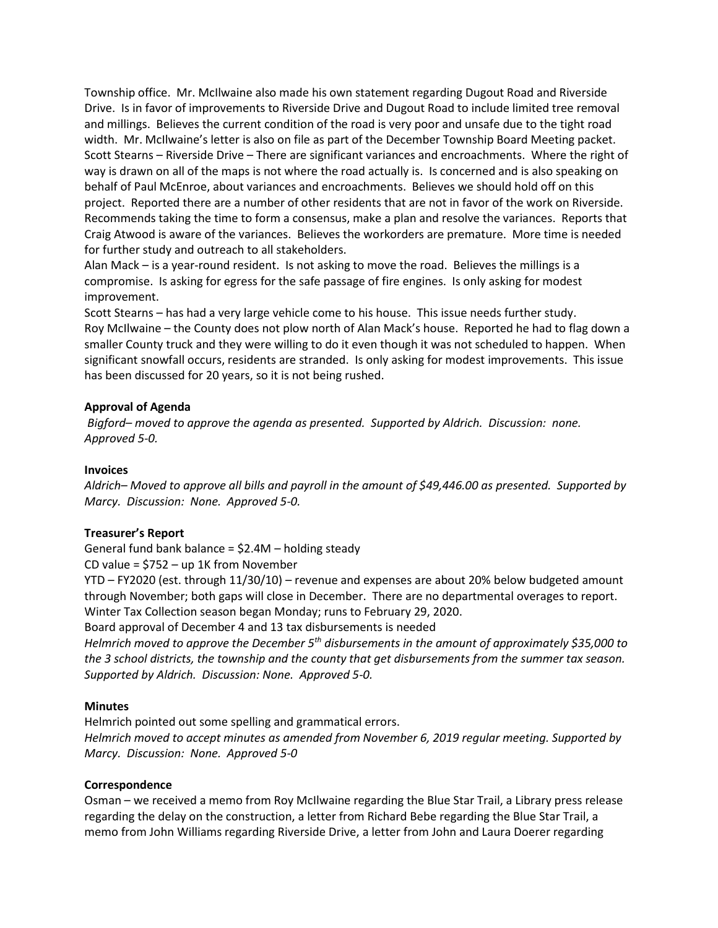Township office. Mr. McIlwaine also made his own statement regarding Dugout Road and Riverside Drive. Is in favor of improvements to Riverside Drive and Dugout Road to include limited tree removal and millings. Believes the current condition of the road is very poor and unsafe due to the tight road width. Mr. McIlwaine's letter is also on file as part of the December Township Board Meeting packet. Scott Stearns – Riverside Drive – There are significant variances and encroachments. Where the right of way is drawn on all of the maps is not where the road actually is. Is concerned and is also speaking on behalf of Paul McEnroe, about variances and encroachments. Believes we should hold off on this project. Reported there are a number of other residents that are not in favor of the work on Riverside. Recommends taking the time to form a consensus, make a plan and resolve the variances. Reports that Craig Atwood is aware of the variances. Believes the workorders are premature. More time is needed for further study and outreach to all stakeholders.

Alan Mack – is a year-round resident. Is not asking to move the road. Believes the millings is a compromise. Is asking for egress for the safe passage of fire engines. Is only asking for modest improvement.

Scott Stearns – has had a very large vehicle come to his house. This issue needs further study. Roy McIlwaine – the County does not plow north of Alan Mack's house. Reported he had to flag down a smaller County truck and they were willing to do it even though it was not scheduled to happen. When significant snowfall occurs, residents are stranded. Is only asking for modest improvements. This issue has been discussed for 20 years, so it is not being rushed.

#### **Approval of Agenda**

*Bigford– moved to approve the agenda as presented. Supported by Aldrich. Discussion: none. Approved 5-0.* 

#### **Invoices**

*Aldrich– Moved to approve all bills and payroll in the amount of \$49,446.00 as presented. Supported by Marcy. Discussion: None. Approved 5-0.* 

## **Treasurer's Report**

General fund bank balance = \$2.4M – holding steady

CD value = \$752 – up 1K from November

YTD – FY2020 (est. through 11/30/10) – revenue and expenses are about 20% below budgeted amount through November; both gaps will close in December. There are no departmental overages to report. Winter Tax Collection season began Monday; runs to February 29, 2020.

Board approval of December 4 and 13 tax disbursements is needed

*Helmrich moved to approve the December 5th disbursements in the amount of approximately \$35,000 to the 3 school districts, the township and the county that get disbursements from the summer tax season. Supported by Aldrich. Discussion: None. Approved 5-0.*

## **Minutes**

Helmrich pointed out some spelling and grammatical errors. *Helmrich moved to accept minutes as amended from November 6, 2019 regular meeting. Supported by Marcy. Discussion: None. Approved 5-0*

## **Correspondence**

Osman – we received a memo from Roy McIlwaine regarding the Blue Star Trail, a Library press release regarding the delay on the construction, a letter from Richard Bebe regarding the Blue Star Trail, a memo from John Williams regarding Riverside Drive, a letter from John and Laura Doerer regarding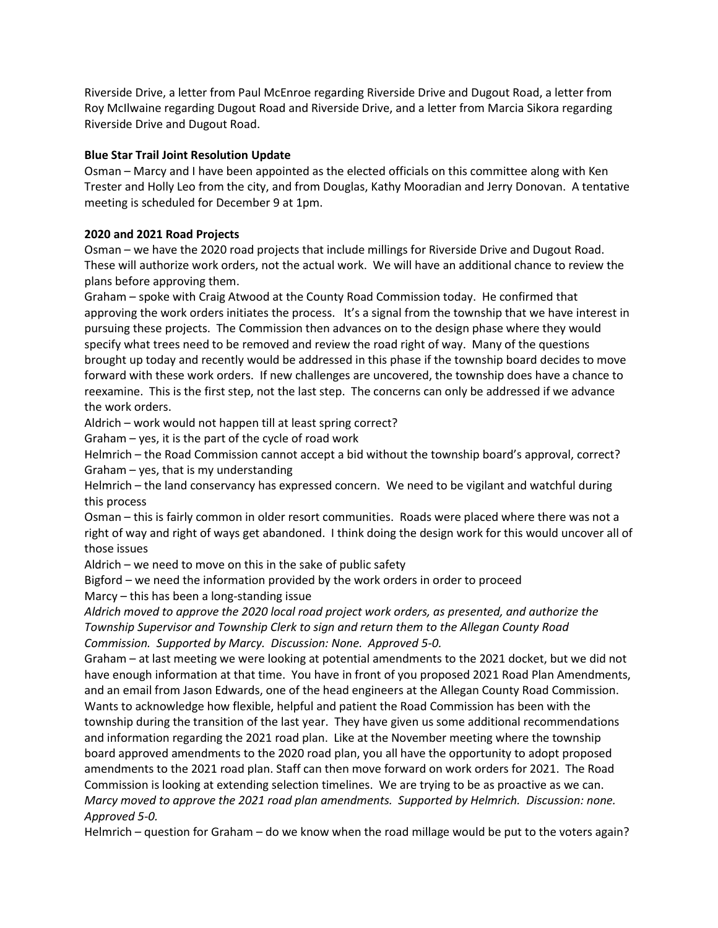Riverside Drive, a letter from Paul McEnroe regarding Riverside Drive and Dugout Road, a letter from Roy McIlwaine regarding Dugout Road and Riverside Drive, and a letter from Marcia Sikora regarding Riverside Drive and Dugout Road.

## **Blue Star Trail Joint Resolution Update**

Osman – Marcy and I have been appointed as the elected officials on this committee along with Ken Trester and Holly Leo from the city, and from Douglas, Kathy Mooradian and Jerry Donovan. A tentative meeting is scheduled for December 9 at 1pm.

# **2020 and 2021 Road Projects**

Osman – we have the 2020 road projects that include millings for Riverside Drive and Dugout Road. These will authorize work orders, not the actual work. We will have an additional chance to review the plans before approving them.

Graham – spoke with Craig Atwood at the County Road Commission today. He confirmed that approving the work orders initiates the process. It's a signal from the township that we have interest in pursuing these projects. The Commission then advances on to the design phase where they would specify what trees need to be removed and review the road right of way. Many of the questions brought up today and recently would be addressed in this phase if the township board decides to move forward with these work orders. If new challenges are uncovered, the township does have a chance to reexamine. This is the first step, not the last step. The concerns can only be addressed if we advance the work orders.

Aldrich – work would not happen till at least spring correct?

Graham – yes, it is the part of the cycle of road work

Helmrich – the Road Commission cannot accept a bid without the township board's approval, correct? Graham – yes, that is my understanding

Helmrich – the land conservancy has expressed concern. We need to be vigilant and watchful during this process

Osman – this is fairly common in older resort communities. Roads were placed where there was not a right of way and right of ways get abandoned. I think doing the design work for this would uncover all of those issues

Aldrich – we need to move on this in the sake of public safety

Bigford – we need the information provided by the work orders in order to proceed

Marcy – this has been a long-standing issue

*Aldrich moved to approve the 2020 local road project work orders, as presented, and authorize the Township Supervisor and Township Clerk to sign and return them to the Allegan County Road Commission. Supported by Marcy. Discussion: None. Approved 5-0.* 

Graham – at last meeting we were looking at potential amendments to the 2021 docket, but we did not have enough information at that time. You have in front of you proposed 2021 Road Plan Amendments, and an email from Jason Edwards, one of the head engineers at the Allegan County Road Commission. Wants to acknowledge how flexible, helpful and patient the Road Commission has been with the township during the transition of the last year. They have given us some additional recommendations and information regarding the 2021 road plan. Like at the November meeting where the township board approved amendments to the 2020 road plan, you all have the opportunity to adopt proposed amendments to the 2021 road plan. Staff can then move forward on work orders for 2021. The Road Commission is looking at extending selection timelines. We are trying to be as proactive as we can. *Marcy moved to approve the 2021 road plan amendments. Supported by Helmrich. Discussion: none. Approved 5-0.* 

Helmrich – question for Graham – do we know when the road millage would be put to the voters again?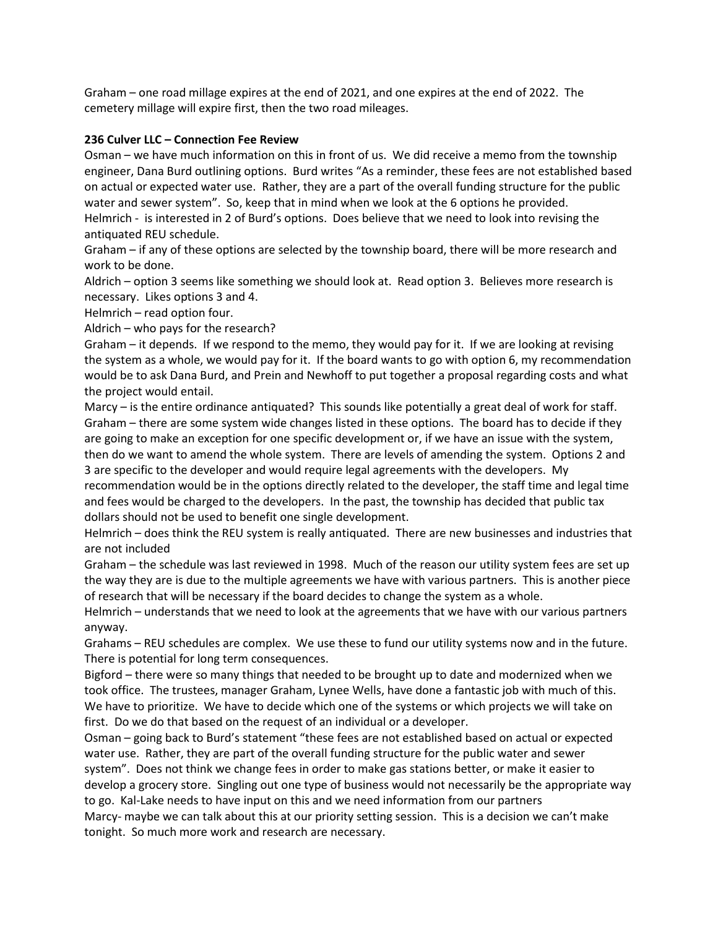Graham – one road millage expires at the end of 2021, and one expires at the end of 2022. The cemetery millage will expire first, then the two road mileages.

#### **236 Culver LLC – Connection Fee Review**

Osman – we have much information on this in front of us. We did receive a memo from the township engineer, Dana Burd outlining options. Burd writes "As a reminder, these fees are not established based on actual or expected water use. Rather, they are a part of the overall funding structure for the public water and sewer system". So, keep that in mind when we look at the 6 options he provided.

Helmrich - is interested in 2 of Burd's options. Does believe that we need to look into revising the antiquated REU schedule.

Graham – if any of these options are selected by the township board, there will be more research and work to be done.

Aldrich – option 3 seems like something we should look at. Read option 3. Believes more research is necessary. Likes options 3 and 4.

Helmrich – read option four.

Aldrich – who pays for the research?

Graham – it depends. If we respond to the memo, they would pay for it. If we are looking at revising the system as a whole, we would pay for it. If the board wants to go with option 6, my recommendation would be to ask Dana Burd, and Prein and Newhoff to put together a proposal regarding costs and what the project would entail.

Marcy – is the entire ordinance antiquated? This sounds like potentially a great deal of work for staff. Graham – there are some system wide changes listed in these options. The board has to decide if they are going to make an exception for one specific development or, if we have an issue with the system, then do we want to amend the whole system. There are levels of amending the system. Options 2 and 3 are specific to the developer and would require legal agreements with the developers. My

recommendation would be in the options directly related to the developer, the staff time and legal time and fees would be charged to the developers. In the past, the township has decided that public tax dollars should not be used to benefit one single development.

Helmrich – does think the REU system is really antiquated. There are new businesses and industries that are not included

Graham – the schedule was last reviewed in 1998. Much of the reason our utility system fees are set up the way they are is due to the multiple agreements we have with various partners. This is another piece of research that will be necessary if the board decides to change the system as a whole.

Helmrich – understands that we need to look at the agreements that we have with our various partners anyway.

Grahams – REU schedules are complex. We use these to fund our utility systems now and in the future. There is potential for long term consequences.

Bigford – there were so many things that needed to be brought up to date and modernized when we took office. The trustees, manager Graham, Lynee Wells, have done a fantastic job with much of this. We have to prioritize. We have to decide which one of the systems or which projects we will take on first. Do we do that based on the request of an individual or a developer.

Osman – going back to Burd's statement "these fees are not established based on actual or expected water use. Rather, they are part of the overall funding structure for the public water and sewer system". Does not think we change fees in order to make gas stations better, or make it easier to develop a grocery store. Singling out one type of business would not necessarily be the appropriate way to go. Kal-Lake needs to have input on this and we need information from our partners Marcy- maybe we can talk about this at our priority setting session. This is a decision we can't make tonight. So much more work and research are necessary.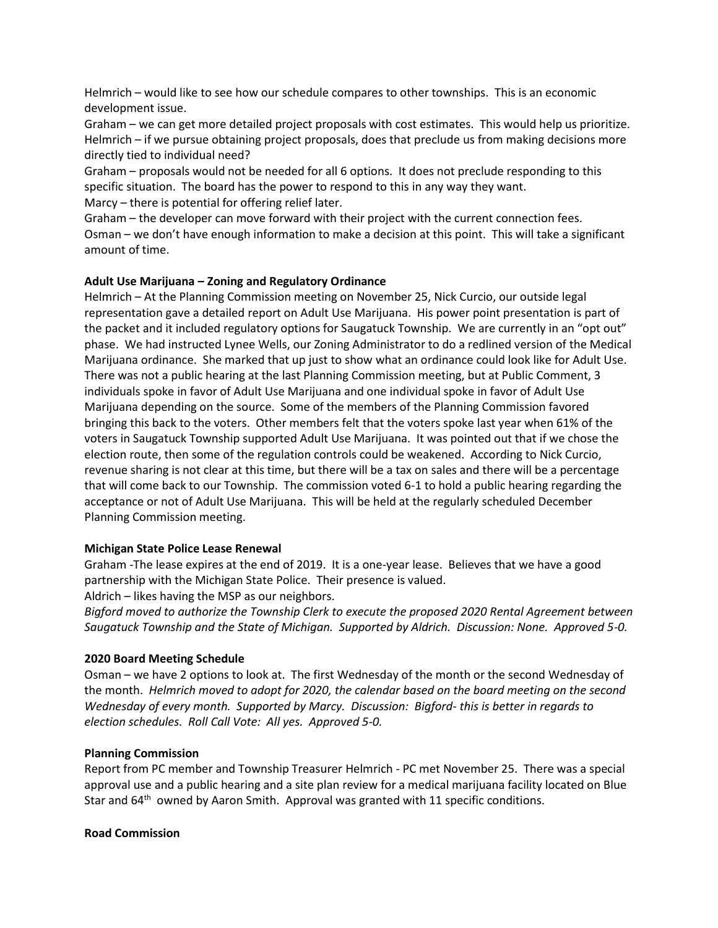Helmrich – would like to see how our schedule compares to other townships. This is an economic development issue.

Graham – we can get more detailed project proposals with cost estimates. This would help us prioritize. Helmrich – if we pursue obtaining project proposals, does that preclude us from making decisions more directly tied to individual need?

Graham – proposals would not be needed for all 6 options. It does not preclude responding to this specific situation. The board has the power to respond to this in any way they want.

Marcy – there is potential for offering relief later.

Graham – the developer can move forward with their project with the current connection fees. Osman – we don't have enough information to make a decision at this point. This will take a significant amount of time.

## **Adult Use Marijuana – Zoning and Regulatory Ordinance**

Helmrich – At the Planning Commission meeting on November 25, Nick Curcio, our outside legal representation gave a detailed report on Adult Use Marijuana. His power point presentation is part of the packet and it included regulatory options for Saugatuck Township. We are currently in an "opt out" phase. We had instructed Lynee Wells, our Zoning Administrator to do a redlined version of the Medical Marijuana ordinance. She marked that up just to show what an ordinance could look like for Adult Use. There was not a public hearing at the last Planning Commission meeting, but at Public Comment, 3 individuals spoke in favor of Adult Use Marijuana and one individual spoke in favor of Adult Use Marijuana depending on the source. Some of the members of the Planning Commission favored bringing this back to the voters. Other members felt that the voters spoke last year when 61% of the voters in Saugatuck Township supported Adult Use Marijuana. It was pointed out that if we chose the election route, then some of the regulation controls could be weakened. According to Nick Curcio, revenue sharing is not clear at this time, but there will be a tax on sales and there will be a percentage that will come back to our Township. The commission voted 6-1 to hold a public hearing regarding the acceptance or not of Adult Use Marijuana. This will be held at the regularly scheduled December Planning Commission meeting.

## **Michigan State Police Lease Renewal**

Graham -The lease expires at the end of 2019. It is a one-year lease. Believes that we have a good partnership with the Michigan State Police. Their presence is valued.

Aldrich – likes having the MSP as our neighbors.

*Bigford moved to authorize the Township Clerk to execute the proposed 2020 Rental Agreement between Saugatuck Township and the State of Michigan. Supported by Aldrich. Discussion: None. Approved 5-0.*

## **2020 Board Meeting Schedule**

Osman – we have 2 options to look at. The first Wednesday of the month or the second Wednesday of the month. *Helmrich moved to adopt for 2020, the calendar based on the board meeting on the second Wednesday of every month. Supported by Marcy. Discussion: Bigford- this is better in regards to election schedules. Roll Call Vote: All yes. Approved 5-0.* 

## **Planning Commission**

Report from PC member and Township Treasurer Helmrich - PC met November 25. There was a special approval use and a public hearing and a site plan review for a medical marijuana facility located on Blue Star and 64<sup>th</sup> owned by Aaron Smith. Approval was granted with 11 specific conditions.

## **Road Commission**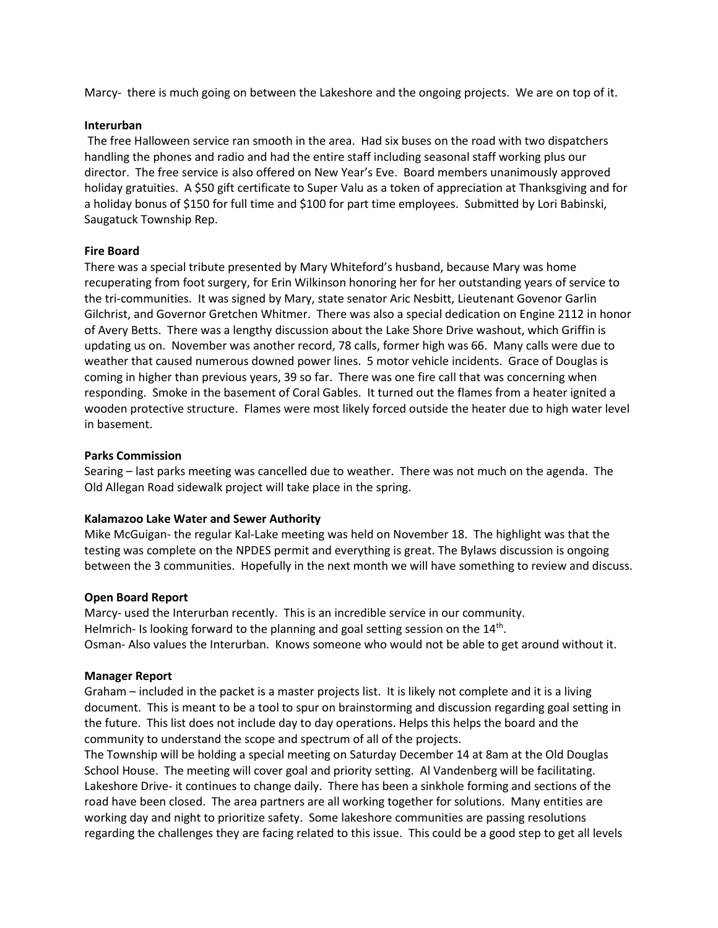Marcy- there is much going on between the Lakeshore and the ongoing projects. We are on top of it.

#### **Interurban**

The free Halloween service ran smooth in the area. Had six buses on the road with two dispatchers handling the phones and radio and had the entire staff including seasonal staff working plus our director. The free service is also offered on New Year's Eve. Board members unanimously approved holiday gratuities. A \$50 gift certificate to Super Valu as a token of appreciation at Thanksgiving and for a holiday bonus of \$150 for full time and \$100 for part time employees. Submitted by Lori Babinski, Saugatuck Township Rep.

#### **Fire Board**

There was a special tribute presented by Mary Whiteford's husband, because Mary was home recuperating from foot surgery, for Erin Wilkinson honoring her for her outstanding years of service to the tri-communities. It was signed by Mary, state senator Aric Nesbitt, Lieutenant Govenor Garlin Gilchrist, and Governor Gretchen Whitmer. There was also a special dedication on Engine 2112 in honor of Avery Betts. There was a lengthy discussion about the Lake Shore Drive washout, which Griffin is updating us on. November was another record, 78 calls, former high was 66. Many calls were due to weather that caused numerous downed power lines. 5 motor vehicle incidents. Grace of Douglas is coming in higher than previous years, 39 so far. There was one fire call that was concerning when responding. Smoke in the basement of Coral Gables. It turned out the flames from a heater ignited a wooden protective structure. Flames were most likely forced outside the heater due to high water level in basement.

#### **Parks Commission**

Searing – last parks meeting was cancelled due to weather. There was not much on the agenda. The Old Allegan Road sidewalk project will take place in the spring.

## **Kalamazoo Lake Water and Sewer Authority**

Mike McGuigan- the regular Kal-Lake meeting was held on November 18. The highlight was that the testing was complete on the NPDES permit and everything is great. The Bylaws discussion is ongoing between the 3 communities. Hopefully in the next month we will have something to review and discuss.

#### **Open Board Report**

Marcy- used the Interurban recently. This is an incredible service in our community. Helmrich- Is looking forward to the planning and goal setting session on the  $14<sup>th</sup>$ . Osman- Also values the Interurban. Knows someone who would not be able to get around without it.

#### **Manager Report**

Graham – included in the packet is a master projects list. It is likely not complete and it is a living document. This is meant to be a tool to spur on brainstorming and discussion regarding goal setting in the future. This list does not include day to day operations. Helps this helps the board and the community to understand the scope and spectrum of all of the projects.

The Township will be holding a special meeting on Saturday December 14 at 8am at the Old Douglas School House. The meeting will cover goal and priority setting. Al Vandenberg will be facilitating. Lakeshore Drive- it continues to change daily. There has been a sinkhole forming and sections of the road have been closed. The area partners are all working together for solutions. Many entities are working day and night to prioritize safety. Some lakeshore communities are passing resolutions regarding the challenges they are facing related to this issue. This could be a good step to get all levels